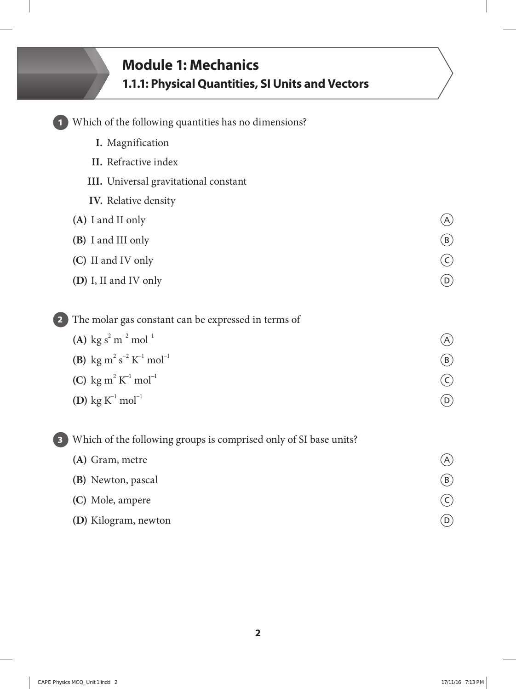## **Module 1: Mechanics 1.1.1: Physical Quantities, SI Units and Vectors**

|                | Which of the following quantities has no dimensions?                             |                           |
|----------------|----------------------------------------------------------------------------------|---------------------------|
|                | I. Magnification                                                                 |                           |
|                | II. Refractive index                                                             |                           |
|                | <b>III.</b> Universal gravitational constant                                     |                           |
|                | IV. Relative density                                                             |                           |
|                | (A) I and II only                                                                | $\left(  \right)$         |
|                | (B) I and III only                                                               | $\left(\mathsf{B}\right)$ |
|                | (C) II and IV only                                                               | $\rm ( \! c)$             |
|                | (D) I, II and IV only                                                            | $\bigcirc$                |
| $\overline{2}$ | The molar gas constant can be expressed in terms of                              |                           |
|                | (A) kg s <sup>2</sup> m <sup>-2</sup> mol <sup>-1</sup>                          | $\bigcirc$                |
|                | ( <b>B</b> ) kg m <sup>2</sup> s <sup>-2</sup> K <sup>-1</sup> mol <sup>-1</sup> | (B)                       |
|                | (C) kg m <sup>2</sup> K <sup>-1</sup> mol <sup>-1</sup>                          | $\bigodot$                |
|                | <b>(D)</b> kg $K^{-1}$ mol <sup>-1</sup>                                         | $\circledcirc$            |
|                | Which of the following groups is comprised only of SI base units?                |                           |
|                | (A) Gram, metre                                                                  | (A)                       |
|                | (B) Newton, pascal                                                               | $(\mathsf{B})$            |
|                | (C) Mole, ampere                                                                 | $\rm (c)$                 |
|                | (D) Kilogram, newton                                                             | $\bigcirc$                |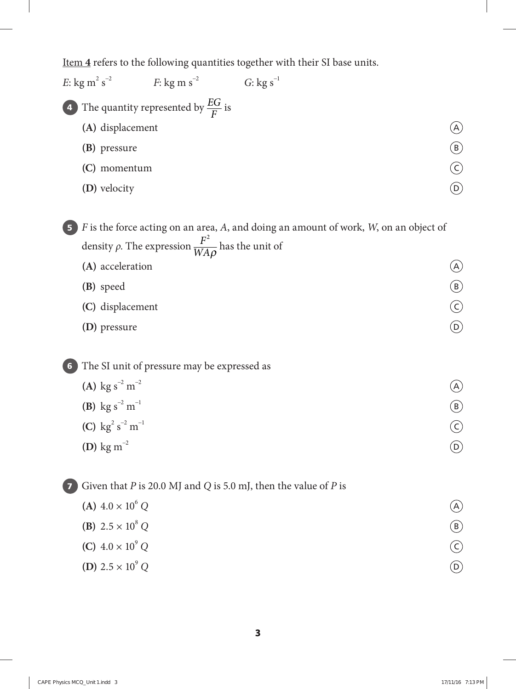Item **4** refers to the following quantities together with their SI base units.

|                 |                                                 | $E: \text{kg m}^2 \text{ s}^{-2}$ $F: \text{kg m s}^{-2}$            | G: kg $\mathrm{s}^{-1}$                                                              |                                |
|-----------------|-------------------------------------------------|----------------------------------------------------------------------|--------------------------------------------------------------------------------------|--------------------------------|
|                 |                                                 | The quantity represented by $\frac{EG}{F}$ is                        |                                                                                      |                                |
|                 | (A) displacement                                |                                                                      |                                                                                      | $\left[ \mathsf{A}\right]$     |
|                 | (B) pressure                                    |                                                                      |                                                                                      | $\left(\mathsf{B}\right)$      |
|                 | (C) momentum                                    |                                                                      |                                                                                      | $\bigodot$                     |
|                 | (D) velocity                                    |                                                                      |                                                                                      | $\textcircled{\scriptsize{D}}$ |
|                 |                                                 |                                                                      | F is the force acting on an area, A, and doing an amount of work, W, on an object of |                                |
|                 |                                                 | density $\rho$ . The expression $\frac{F^2}{WA\rho}$ has the unit of |                                                                                      |                                |
|                 | (A) acceleration                                |                                                                      |                                                                                      |                                |
|                 | (B) speed                                       |                                                                      |                                                                                      | $\left(\mathtt{B}\right)$      |
|                 | (C) displacement                                |                                                                      |                                                                                      | $\bigodot$                     |
|                 | (D) pressure                                    |                                                                      |                                                                                      | $\bigcirc$                     |
| $6\phantom{1}6$ |                                                 | The SI unit of pressure may be expressed as                          |                                                                                      |                                |
|                 | (A) $\text{kg s}^{-2} \text{ m}^{-2}$           |                                                                      |                                                                                      | (A)                            |
|                 | (B) kg s <sup>-2</sup> m <sup>-1</sup>          |                                                                      |                                                                                      | $\left(\mathsf{B}\right)$      |
|                 | (C) $\text{kg}^2 \text{ s}^{-2} \text{ m}^{-1}$ |                                                                      |                                                                                      | $\left(  \right)$              |
|                 | (D) $\text{kg m}^{-2}$                          |                                                                      |                                                                                      | $\bigcirc$                     |
|                 |                                                 |                                                                      | Given that $P$ is 20.0 MJ and $Q$ is 5.0 mJ, then the value of $P$ is                |                                |
|                 | (A) $4.0 \times 10^6$ Q                         |                                                                      |                                                                                      | (A)                            |
|                 | ( <b>B</b> ) $2.5 \times 10^8$ Q                |                                                                      |                                                                                      | $\bigcirc$                     |
|                 | (C) $4.0 \times 10^{9} Q$                       |                                                                      |                                                                                      | $\odot$                        |
|                 | (D) $2.5 \times 10^9$ Q                         |                                                                      |                                                                                      | $\circledcirc$                 |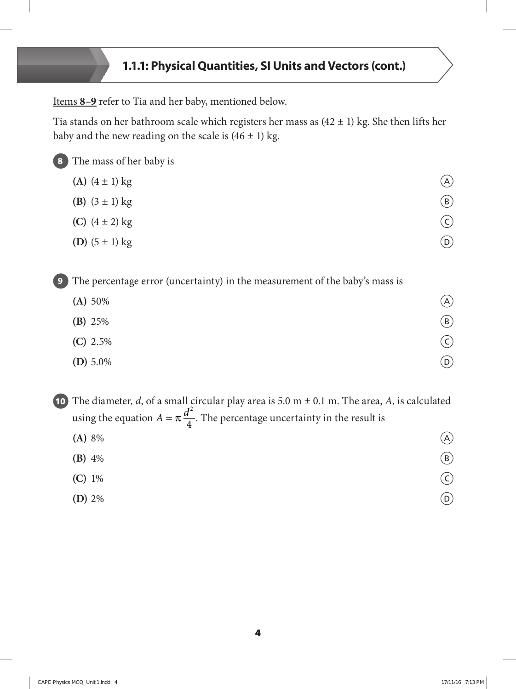## **1.1.1: Physical Quantities, SI Units and Vectors (cont.)**

Items **8–9** refer to Tia and her baby, mentioned below.

Tia stands on her bathroom scale which registers her mass as  $(42 \pm 1)$  kg. She then lifts her baby and the new reading on the scale is  $(46 \pm 1)$  kg.

| 8 | The mass of her baby is                                                     |                   |
|---|-----------------------------------------------------------------------------|-------------------|
|   | (A) $(4 \pm 1)$ kg                                                          | $\mathsf{A}$      |
|   | ( <b>B</b> ) $(3 \pm 1)$ kg                                                 | (B)               |
|   | (C) $(4 \pm 2)$ kg                                                          | $\left(  \right)$ |
|   | (D) $(5 \pm 1)$ kg                                                          | $(\mathsf{D})$    |
|   |                                                                             |                   |
| 9 | The percentage error (uncertainty) in the measurement of the baby's mass is |                   |
|   | (A) 50%                                                                     | A                 |

- **(B)** 25% B **(C)** 2.5% C
	- **(D)** 5.0% **D**

**10** The diameter, *d*, of a small circular play area is 5.0 m ± 0.1 m. The area, *A*, is calculated using the equation  $A = \pi \frac{d^2}{4}$ 2  $=\pi \frac{u}{4}$ . The percentage uncertainty in the result is

| (A) 8%    | (A)            |
|-----------|----------------|
| $(B)$ 4%  | $\binom{B}{B}$ |
| (C) $1\%$ | $\odot$        |
| (D) 2%    | $\bigcirc$     |